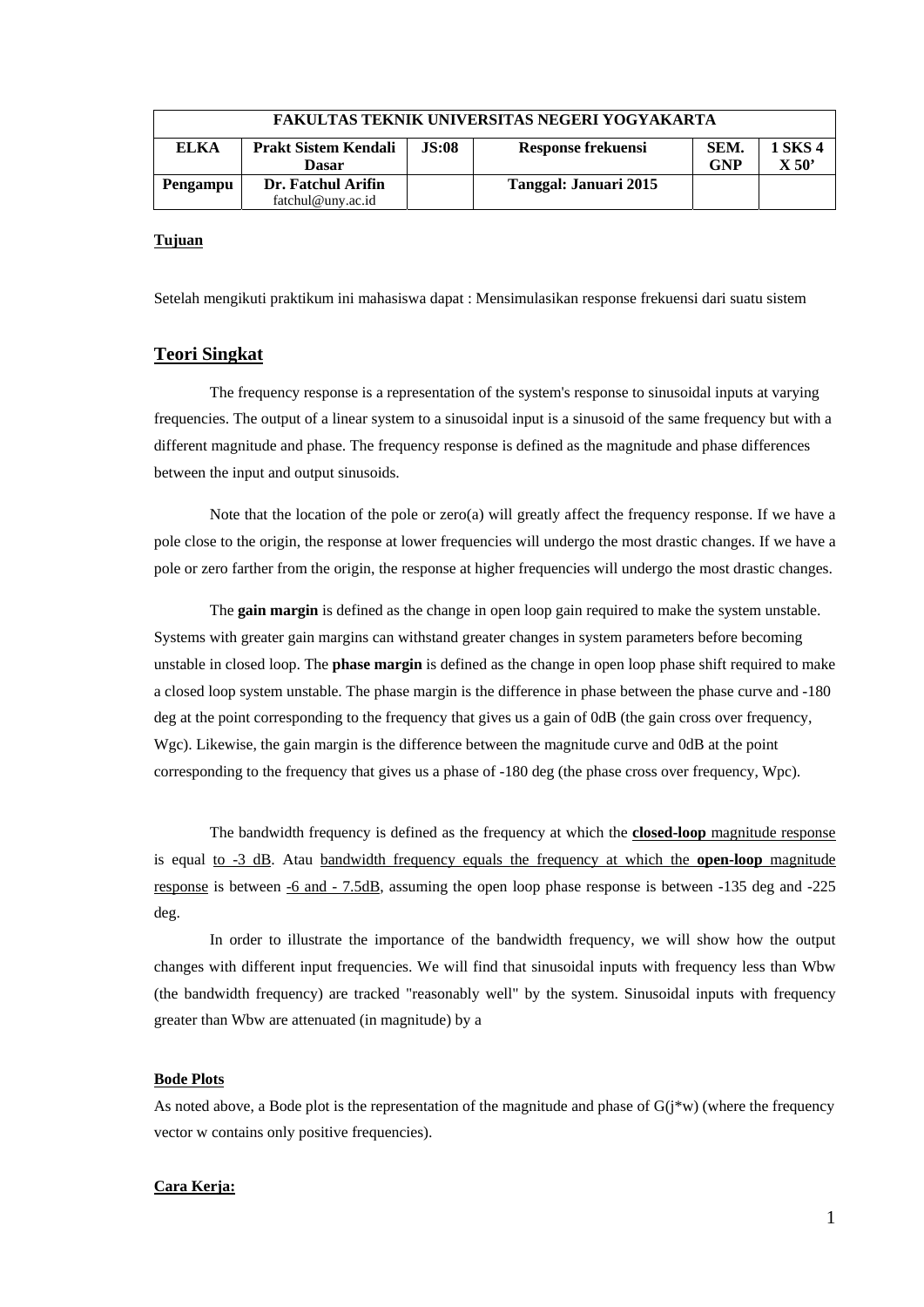| <b>FAKULTAS TEKNIK UNIVERSITAS NEGERI YOGYAKARTA</b> |                                             |              |                       |                    |                  |  |  |  |
|------------------------------------------------------|---------------------------------------------|--------------|-----------------------|--------------------|------------------|--|--|--|
| <b>ELKA</b>                                          | <b>Prakt Sistem Kendali</b><br><b>Dasar</b> | <b>JS:08</b> | Response frekuensi    | SEM.<br><b>GNP</b> | 1 SKS 4<br>X 50' |  |  |  |
| Pengampu                                             | Dr. Fatchul Arifin                          |              | Tanggal: Januari 2015 |                    |                  |  |  |  |
|                                                      | fatchul@uny.ac.id                           |              |                       |                    |                  |  |  |  |

### **Tujuan**

Setelah mengikuti praktikum ini mahasiswa dapat : Mensimulasikan response frekuensi dari suatu sistem

## **Teori Singkat**

The frequency response is a representation of the system's response to sinusoidal inputs at varying frequencies. The output of a linear system to a sinusoidal input is a sinusoid of the same frequency but with a different magnitude and phase. The frequency response is defined as the magnitude and phase differences between the input and output sinusoids.

Note that the location of the pole or zero(a) will greatly affect the frequency response. If we have a pole close to the origin, the response at lower frequencies will undergo the most drastic changes. If we have a pole or zero farther from the origin, the response at higher frequencies will undergo the most drastic changes.

The **gain margin** is defined as the change in open loop gain required to make the system unstable. Systems with greater gain margins can withstand greater changes in system parameters before becoming unstable in closed loop. The **phase margin** is defined as the change in open loop phase shift required to make a closed loop system unstable. The phase margin is the difference in phase between the phase curve and -180 deg at the point corresponding to the frequency that gives us a gain of 0dB (the gain cross over frequency, Wgc). Likewise, the gain margin is the difference between the magnitude curve and 0dB at the point corresponding to the frequency that gives us a phase of -180 deg (the phase cross over frequency, Wpc).

The bandwidth frequency is defined as the frequency at which the **closed-loop** magnitude response is equal to -3 dB. Atau bandwidth frequency equals the frequency at which the **open-loop** magnitude response is between -6 and - 7.5dB, assuming the open loop phase response is between -135 deg and -225 deg.

In order to illustrate the importance of the bandwidth frequency, we will show how the output changes with different input frequencies. We will find that sinusoidal inputs with frequency less than Wbw (the bandwidth frequency) are tracked "reasonably well" by the system. Sinusoidal inputs with frequency greater than Wbw are attenuated (in magnitude) by a

### **Bode Plots**

As noted above, a Bode plot is the representation of the magnitude and phase of  $G(j^*w)$  (where the frequency vector w contains only positive frequencies).

### **Cara Kerja:**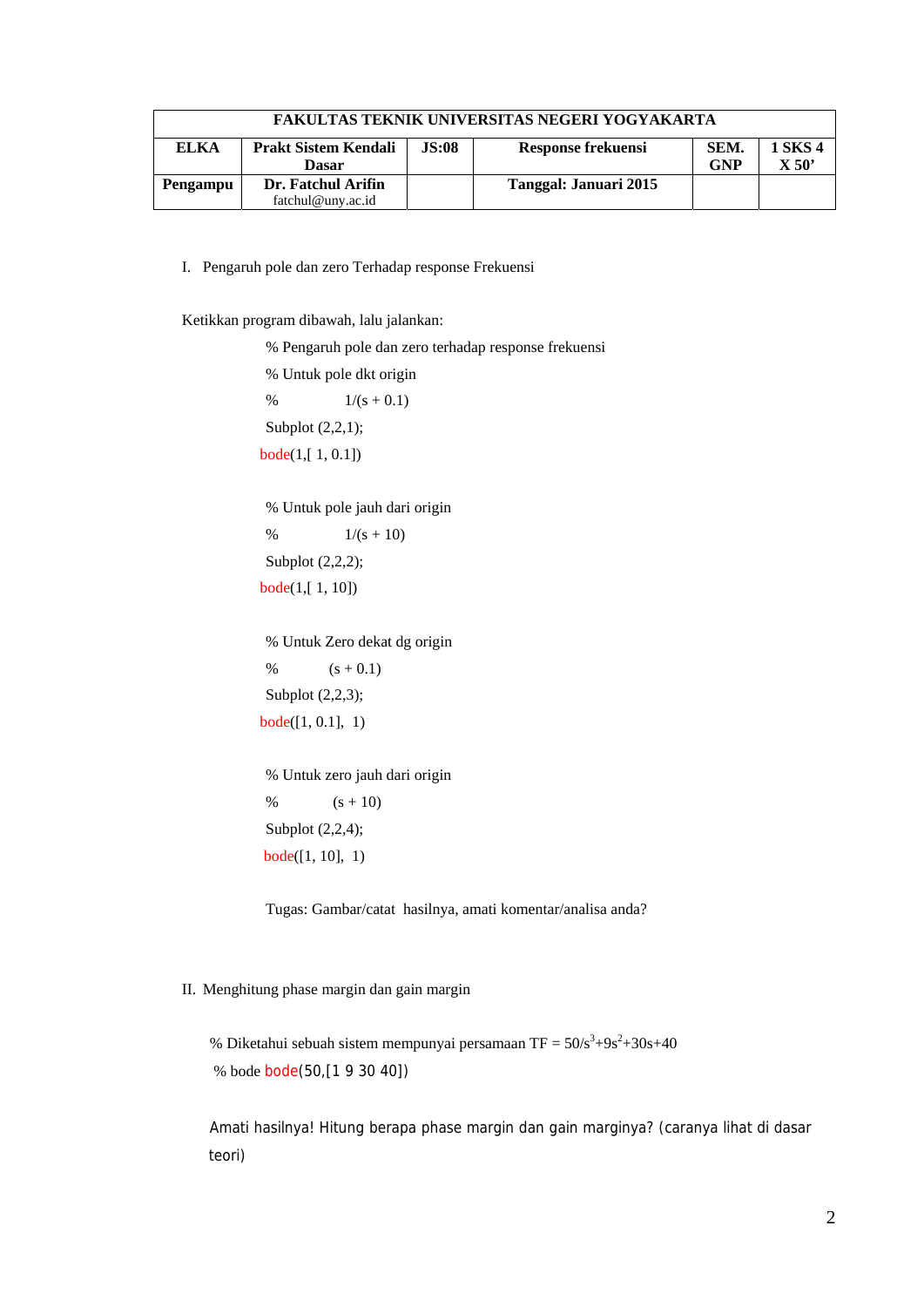| <b>FAKULTAS TEKNIK UNIVERSITAS NEGERI YOGYAKARTA</b> |                                             |              |                       |                    |                  |  |  |  |
|------------------------------------------------------|---------------------------------------------|--------------|-----------------------|--------------------|------------------|--|--|--|
| EL KA                                                | <b>Prakt Sistem Kendali</b><br><b>Dasar</b> | <b>JS:08</b> | Response frekuensi    | SEM.<br><b>GNP</b> | 1 SKS 4<br>X 50' |  |  |  |
| Pengampu                                             | Dr. Fatchul Arifin                          |              | Tanggal: Januari 2015 |                    |                  |  |  |  |
|                                                      | fatchul@uny.ac.id                           |              |                       |                    |                  |  |  |  |

I. Pengaruh pole dan zero Terhadap response Frekuensi

Ketikkan program dibawah, lalu jalankan:

% Pengaruh pole dan zero terhadap response frekuensi

% Untuk pole dkt origin %  $1/(s + 0.1)$ Subplot (2,2,1); bode(1,[ 1, 0.1])

% Untuk pole jauh dari origin %  $1/(s + 10)$ Subplot (2,2,2); bode(1,[ 1, 10])

% Untuk Zero dekat dg origin %  $(s + 0.1)$ Subplot (2,2,3);  $bode([1, 0.1], 1)$ 

% Untuk zero jauh dari origin %  $(s + 10)$ Subplot (2,2,4); bode([1, 10], 1)

Tugas: Gambar/catat hasilnya, amati komentar/analisa anda?

# II. Menghitung phase margin dan gain margin

% Diketahui sebuah sistem mempunyai persamaan TF =  $50/s^3+9s^2+30s+40$ % bode bode(50,[1 9 30 40])

 Amati hasilnya! Hitung berapa phase margin dan gain marginya? (caranya lihat di dasar teori)